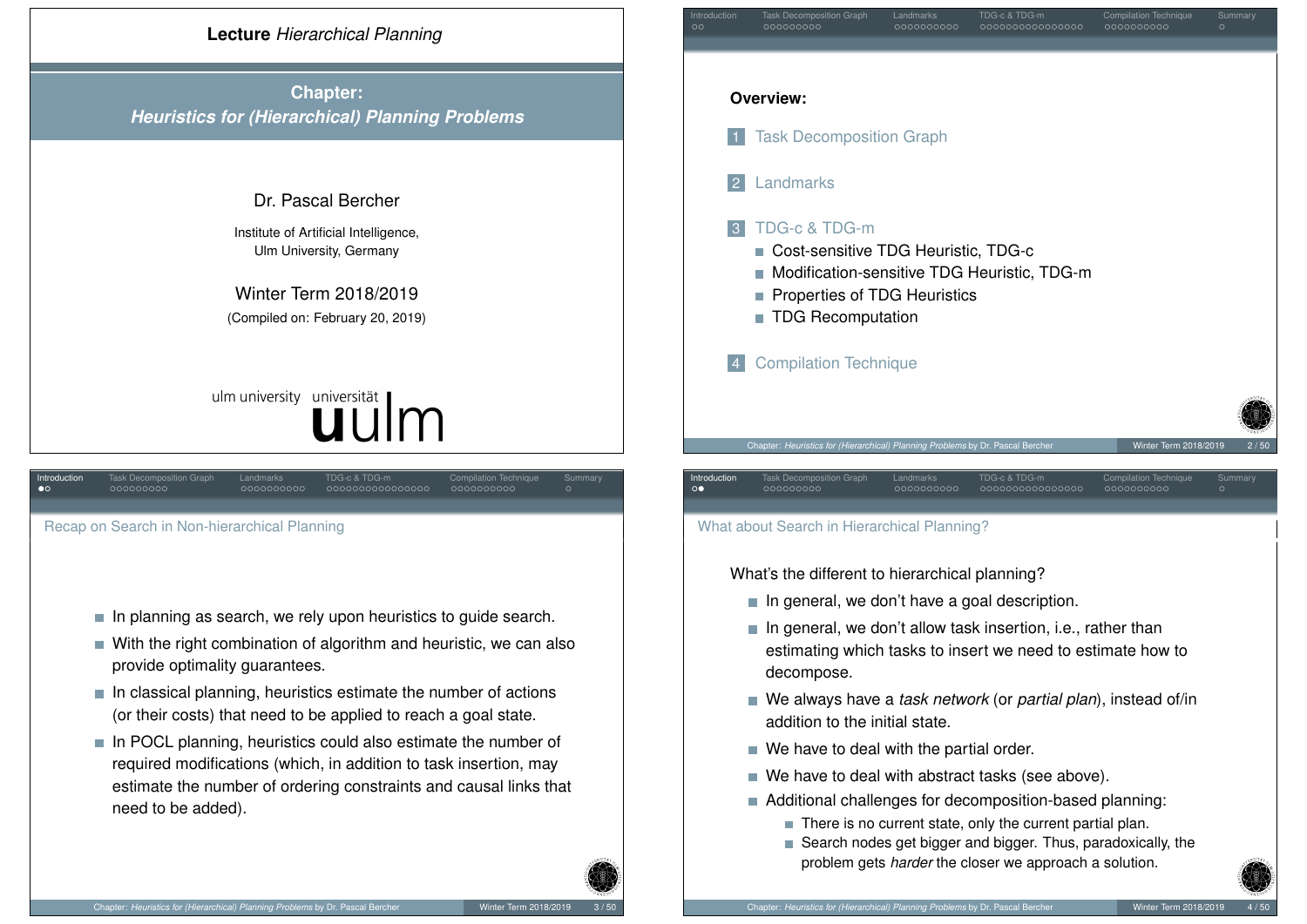

**Chapter:** *Heuristics for (Hierarchical) Planning Problems*

#### Dr. Pascal Bercher

Institute of Artificial Intelligence, Ulm University, Germany

Winter Term 2018/2019 (Compiled on: February 20, 2019)

# ulm university universität

<span id="page-0-0"></span>

| Introduction<br>$\bullet$ | <b>Task Decomposition Graph</b><br>000000000 | Landmarks<br>0000000000 | TDG-c & TDG-m<br>0000000000000000 | <b>Compilation Technique</b><br>0000000000 | Summary<br>$\circ$ |
|---------------------------|----------------------------------------------|-------------------------|-----------------------------------|--------------------------------------------|--------------------|
|                           |                                              |                         |                                   |                                            |                    |
|                           | Recap on Search in Non-hierarchical Planning |                         |                                   |                                            |                    |
|                           |                                              |                         |                                   |                                            |                    |
|                           |                                              |                         |                                   |                                            |                    |
|                           |                                              |                         |                                   |                                            |                    |
|                           |                                              |                         |                                   |                                            |                    |

- $\blacksquare$  [In planning as searc](#page-1-0)h, we rely upon heuristics to guide search.
- With the right combination of algorithm and heuristic, we can also [provi](#page-4-0)de optimality guarantees.
- $\blacksquare$  In classical planning, heuristics estimate the number of actions [\(or their co](#page-6-0)sts) that need to be applied to reach a goal state.
- [In POCL planning, heuristics could also](#page-8-0) estimate the number of [required modifications \(w](#page-10-0)hich, in addition to task insertion, may [estimate the num](#page-10-0)ber of ordering constraints and causal links that need to be added).



#### What about Search in Hierarchical Planning?

What's the different to hierarchical planning?

- $\blacksquare$  In general, we don't have a goal description.
- $\blacksquare$  In general, we don't allow task insertion, i.e., rather than estimating which tasks to insert we need to estimate how to decompose.
- We always have a *task network* (or *partial plan*), instead of/in addition to the initial state.
- We have to deal with the partial order.
- We have to deal with abstract tasks (see above).
- Additional challenges for decomposition-based planning:
	- $\blacksquare$  There is no current state, only the current partial plan.
	- Search nodes get bigger and bigger. Thus, paradoxically, the problem gets *harder* the closer we approach a solution.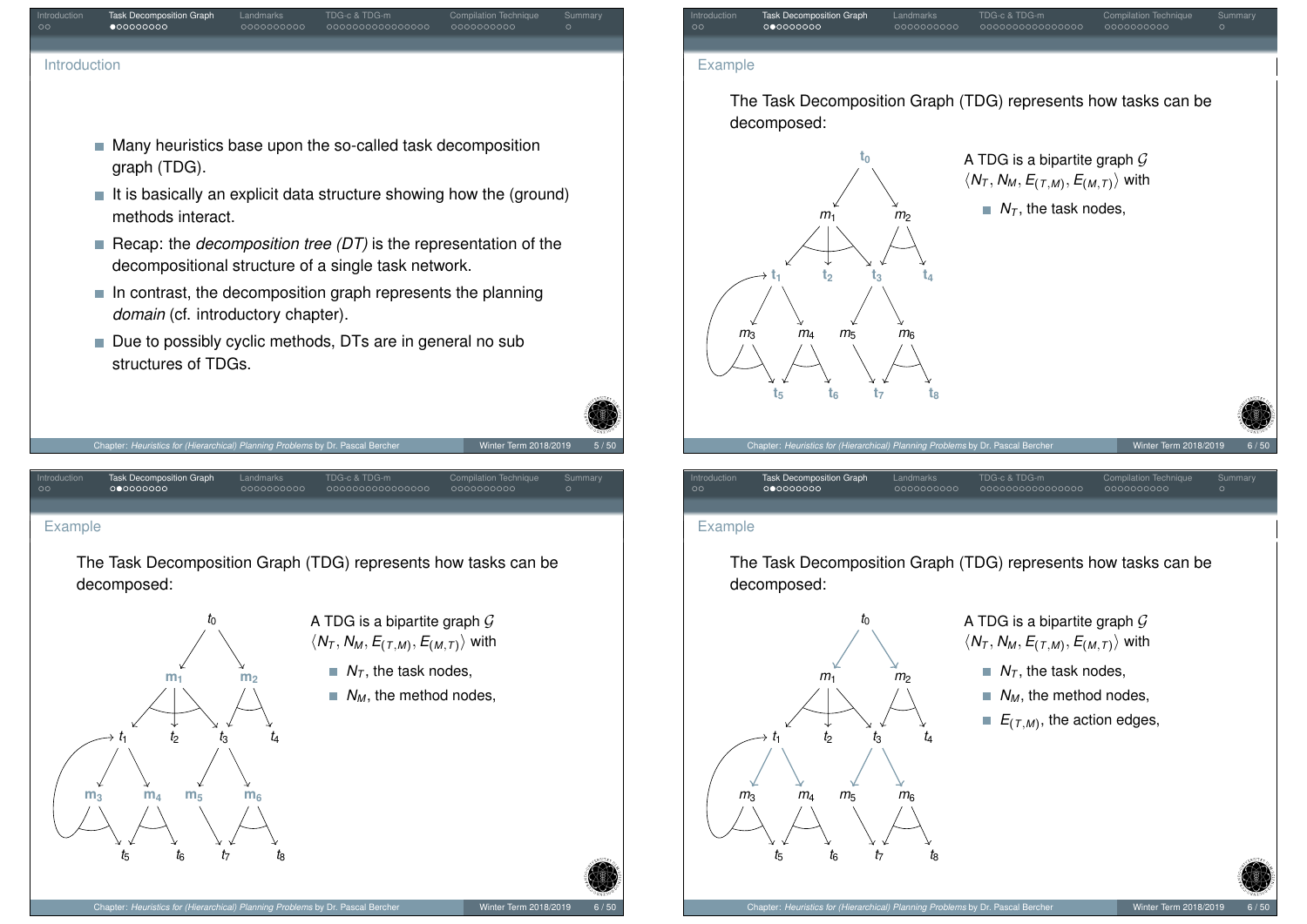## Introduction Composition Graph Landmarks TDG-c & TDG-m Compilation Technique Summary Introduction

- Many heuristics base upon the so-called task decomposition graph (TDG).
- $\blacksquare$  It is basically an explicit data structure showing how the (ground) methods interact.
- Recap: the *decomposition tree (DT)* is the representation of the decompositional structure of a single task network.

Chapter: *Heuristics for (Hierarchical) Planning Problems* by Dr. Pascal Bercher Winter Term 2018/2019 5/50

- $\blacksquare$  In contrast, the decomposition graph represents the planning *domain* (cf. introductory chapter).
- Due to possibly cyclic methods, DTs are in general no sub structures of TDGs.

<span id="page-1-0"></span>

The Task Decomposition Graph (TDG) represents how tasks can be decomposed:

Introduction Task Decomposition Graph Landmarks TDG-c & TDG-m Compilation Technique Summary



- A TDG is a bipartite graph  $G$  $\langle N_T, N_M, E_{(T,M)}, E_{(M,T)} \rangle$  with
	- $N<sub>T</sub>$ , the task nodes,
	- $N_M$ , the method nodes,



#### Example

The Task Decomposition Graph (TDG) represents how tasks can be decomposed:

Introduction Task Decomposition Graph Landmarks TDG-c & TDG-m Compilation Technique Summary



A TDG is a bipartite graph  $G$  $\langle N_T, N_M, E_{(T,M)}, E_{(M,T)} \rangle$  with

 $N<sub>T</sub>$ , the task nodes,

- $N_M$ , the method nodes,
- $E_{(T,M)}$ , the action edges,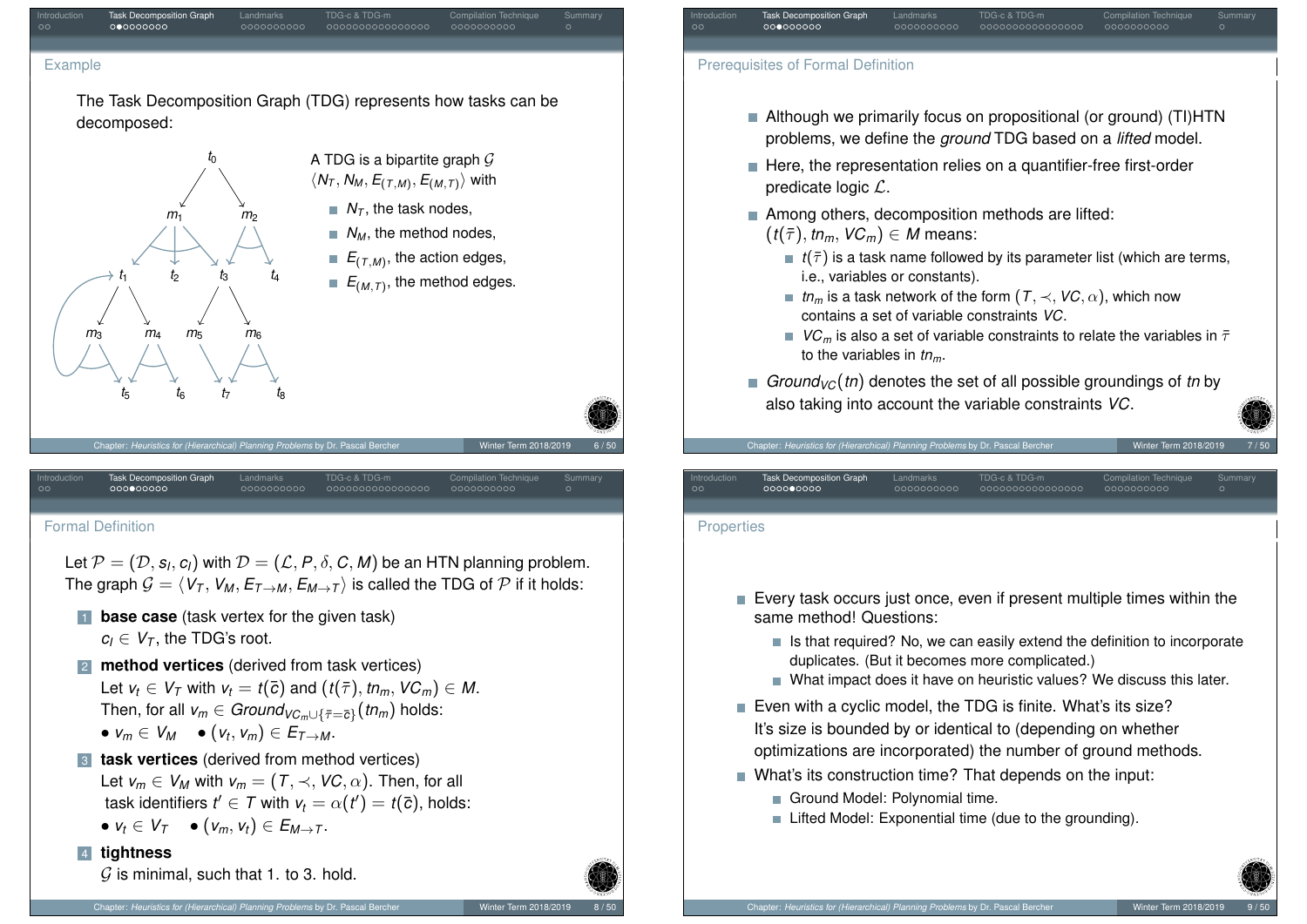#### Example

The Task Decomposition Graph (TDG) represents how tasks can be decomposed:

Introduction Composition Graph Landmarks TDG-c & TDG-m Compilation Technique Summary



#### <span id="page-2-0"></span>For[ma](#page-1-0)[l D](#page-2-0)[efinit](#page-3-0)ion

Let  $\mathcal{P}=(\mathcal{D},s_l,c_l)$  with  $\mathcal{D}=(\mathcal{L},P,\delta,\mathcal{C},\mathcal{M})$  be an HTN planning problem. The graph  $G = \langle V_T, V_M, E_{T\rightarrow M}, E_{M\rightarrow T} \rangle$  is called the TDG of P if it holds:

- **1 base case** (task vertex for the given task)  $c_i \in V_{\mathcal{T}}$ , the TDG's root.
- **2 method vertices** (derived from task vertices) Let  $v_t \in V_\tau$  with  $v_t = t(\bar{c})$  and  $(t(\bar{\tau}), t n_m, V C_m) \in M$ .  $\textsf{Then, for all } \mathsf{v}_m \in \mathsf{Ground}_{\mathsf{VC}_m \cup \{\bar{\tau} = \bar{\mathsf{c}}\}}(\mathit{tn}_m) \text{ holds:}$  $\bullet$   $v_m \in V_M$   $\bullet$   $(v_t, v_m) \in E_{T \rightarrow M}.$

### 3 **task vertices** (derived from method vertices) Let  $v_m \in V_M$  with  $v_m = (T, \prec, VC, \alpha)$ . Then, for all task identifiers  $t' \in \mathcal{T}$  with  $v_t = \alpha(t') = t(\bar{c})$ , holds:

$$
\bullet \, v_t \in V_T \quad \bullet \, (v_m, v_t) \in E_{M \to T}.
$$

#### 4 **tightness**

 $\mathcal G$  is minimal, such that 1. to 3. hold.

#### Prerequisites of Formal Definition

- Although we primarily focus on propositional (or ground) (TI)HTN problems, we define the *ground* TDG based on a *lifted* model.
- Here, the representation relies on a quantifier-free first-order predicate logic L.

Introduction Composition Graph Landmarks TDG-c & TDG-m Compilation Technique Summary

- Among others, decomposition methods are lifted:  $(t(\bar{\tau}), t_n, \mathcal{VC}_m) \in M$  means:
	- $\mathbf{r}$  *t*( $\bar{\tau}$ ) is a task name followed by its parameter list (which are terms, i.e., variables or constants).
	- *tn<sub>m</sub>* **is a task network of the form (***T***,**  $\prec$ **,** *VC***,**  $\alpha$ **), which now** contains a set of variable constraints *VC*.
	- *VC<sub>m</sub>* is also a set of variable constraints to relate the variables in  $\bar{\tau}$ to the variables in *tnm*.

000000000000000

*Ground*<sub>VC</sub>(*tn*) denotes the set of all possible groundings of *tn* by also taking into account the variable constraints *VC*.

Introduction Task Decomposition Graph Landmarks TDG-c & TDG-m Compilation Technique Summary

#### **Properties**

- Every task occurs just once, even if present multiple times within the same method! Questions:
	- $\blacksquare$  Is that required? No, we can easily extend the definition to incorporate duplicates. (But it becomes more complicated.)
	- What impact does it have on heuristic values? We discuss this later.
- Even with a cyclic model, the TDG is finite. What's its size? It's size is bounded by or identical to (depending on whether optimizations are incorporated) the number of ground methods.
- What's its construction time? That depends on the input:
	- Ground Model: Polynomial time.

Chapter: *Heuristics for (Hierarchical) Planning Problems* by Dr. Pascal Be

■ Lifted Model: Exponential time (due to the grounding).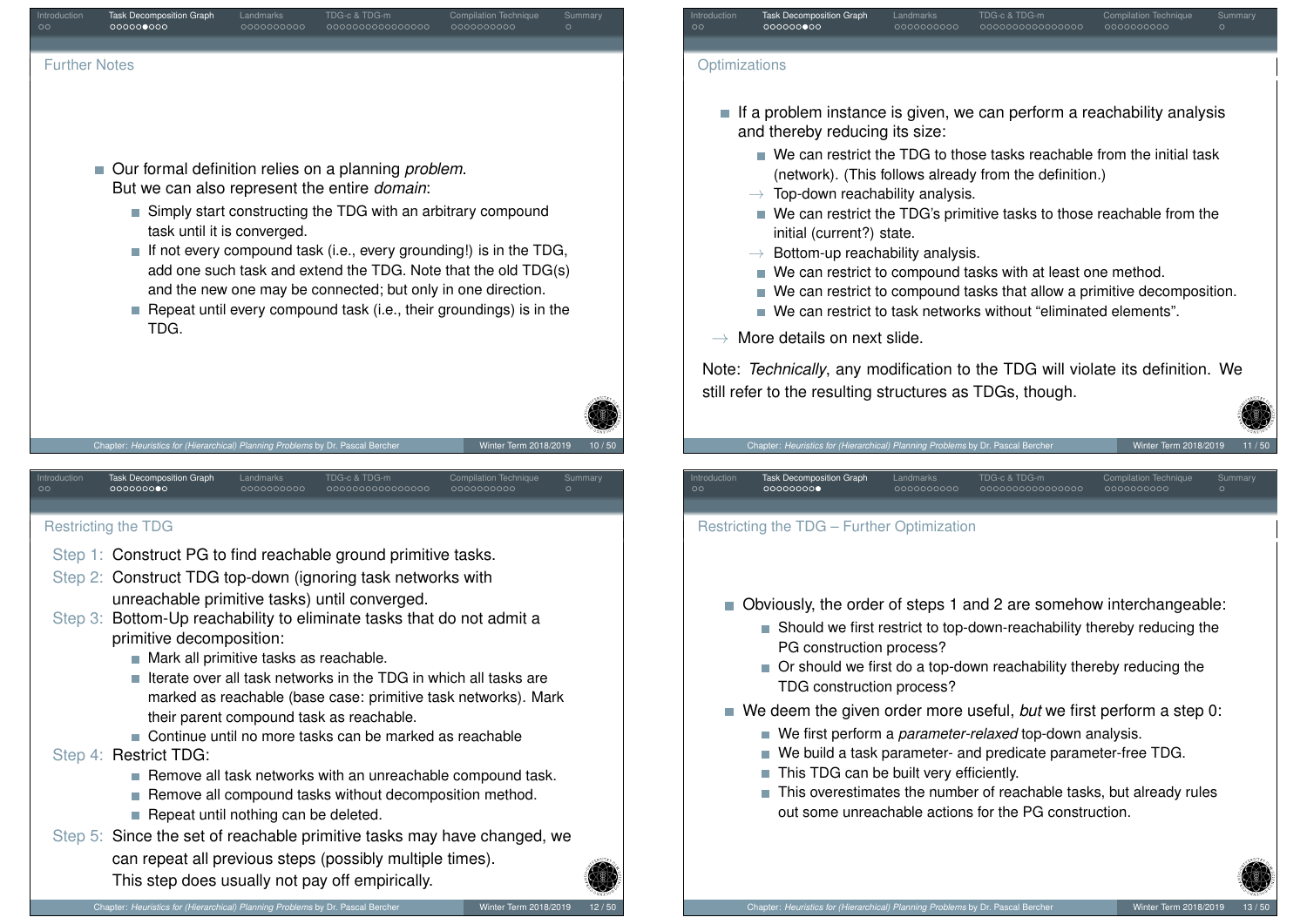<span id="page-3-0"></span>

- If a problem instance is given, we can perform a reachability analysis and thereby reducing its size:
	- We can restrict the TDG to those tasks reachable from the initial task (network). (This follows already from the definition.)
	- $\rightarrow$  Top-down reachability analysis.
	- We can restrict the TDG's primitive tasks to those reachable from the initial (current?) state.
	- $\rightarrow$  Bottom-up reachability analysis.
	- We can restrict to compound tasks with at least one method.
	- We can restrict to compound tasks that allow a primitive decomposition.
	- We can restrict to task networks without "eliminated elements".

#### $\rightarrow$  More details on next slide.

Note: *Technically*, any modification to the TDG will violate its definition. We still refer to the resulting structures as TDGs, though.

#### Restricting the TDG – Further Optimization

- Obviously, the order of steps 1 and 2 are somehow interchangeable:
	- Should we first restrict to top-down-reachability thereby reducing the PG construction process?

0000000000000000

- Or should we first do a top-down reachability thereby reducing the TDG construction process?
- We deem the given order more useful, *but* we first perform a step 0:
	- We first perform a *parameter-relaxed* top-down analysis.
	- We build a task parameter- and predicate parameter-free TDG.
	- This TDG can be built very efficiently.
	- This overestimates the number of reachable tasks, but already rules out some unreachable actions for the PG construction.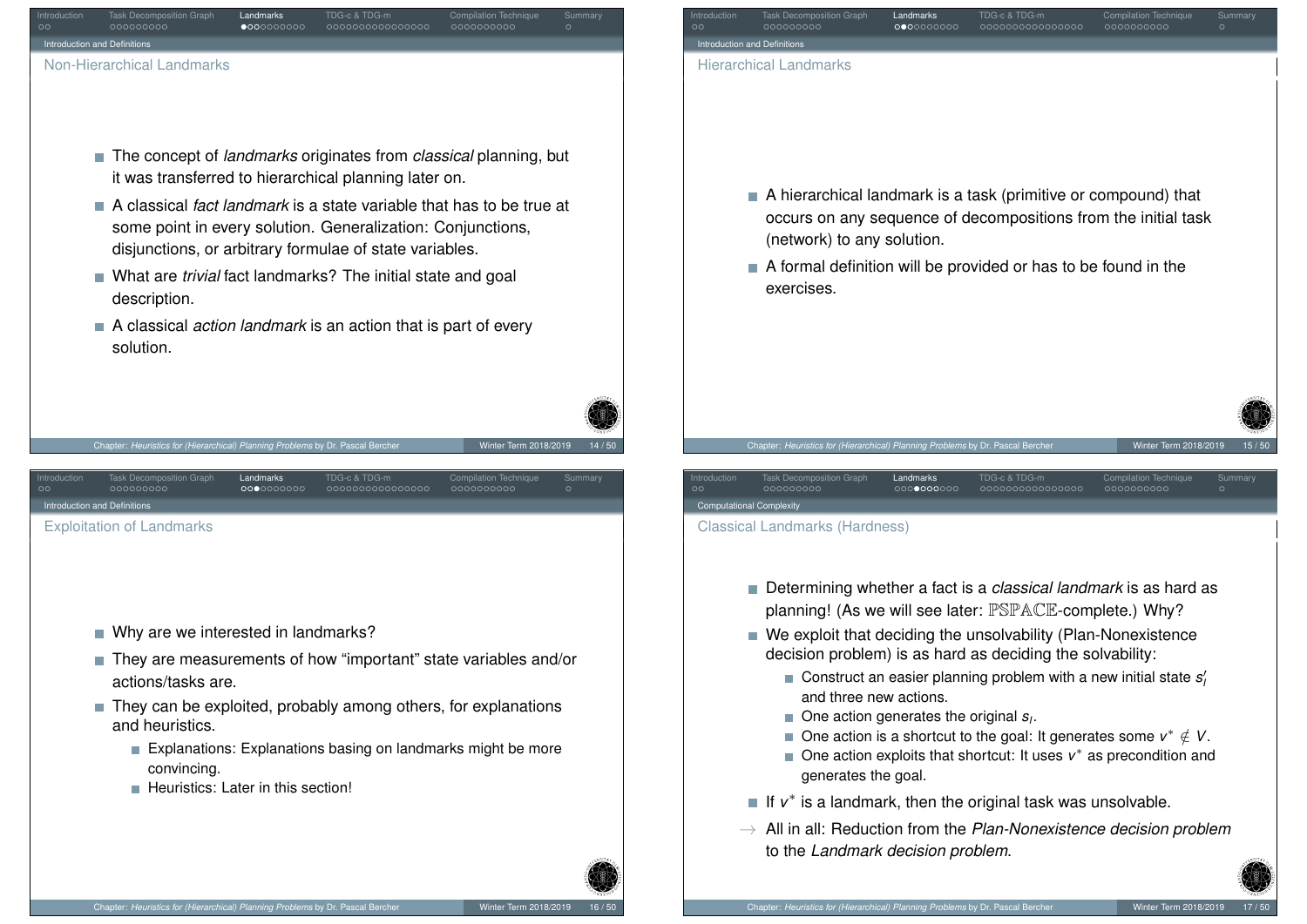<span id="page-4-0"></span>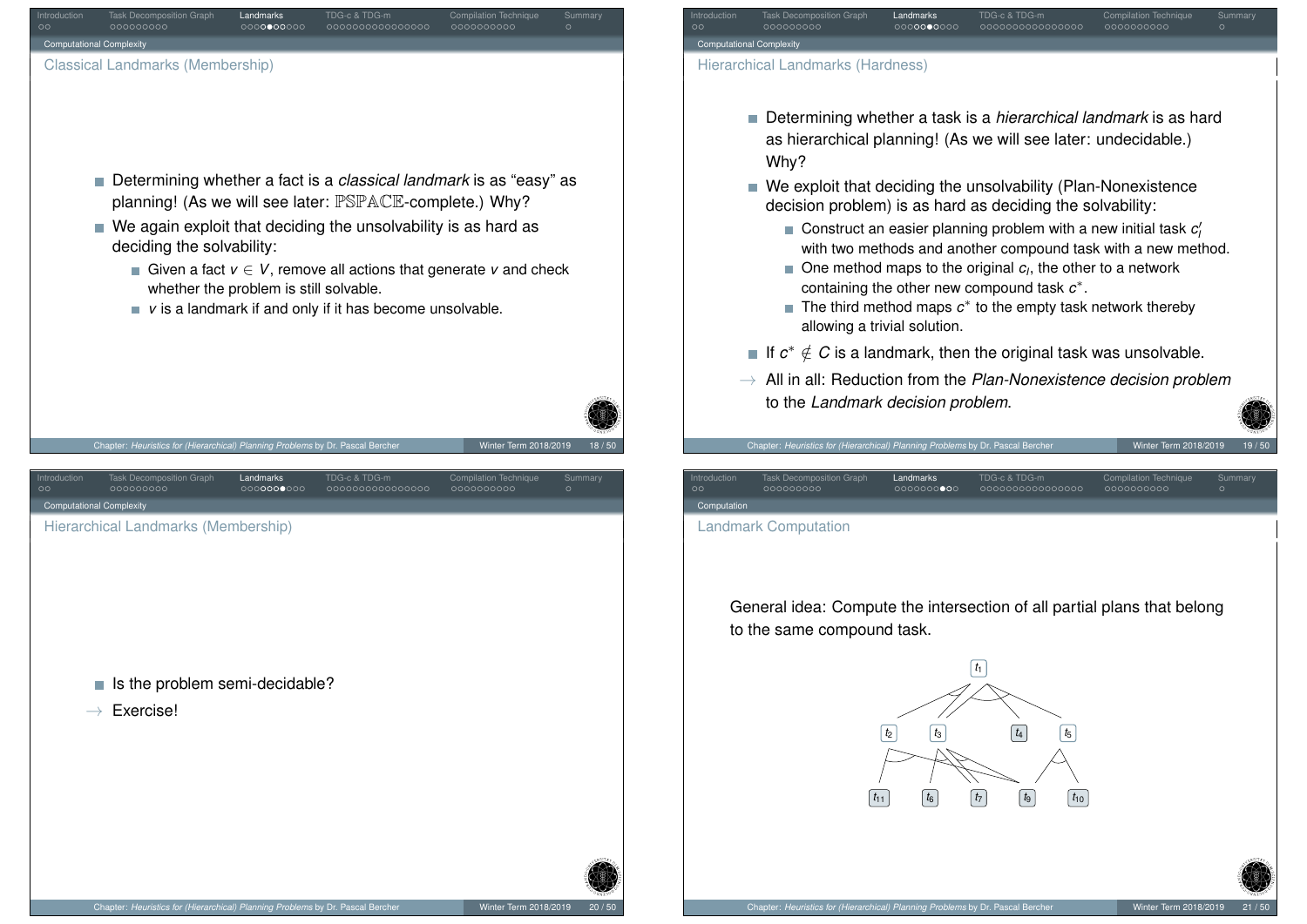<span id="page-5-0"></span>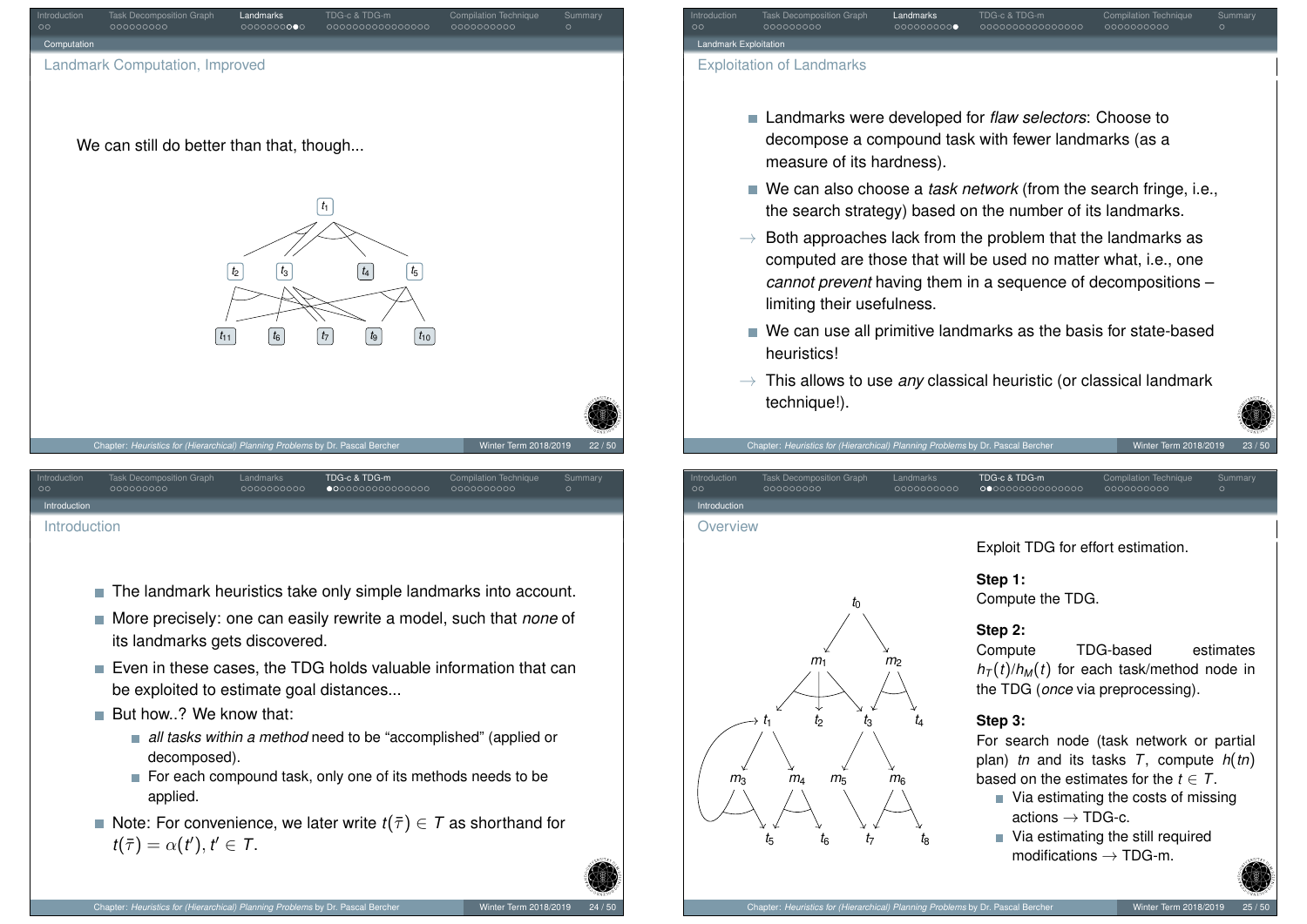

<span id="page-6-0"></span>[Int](#page-5-0)[roduc](#page-6-0)[ti](#page-2-0)[on](#page-3-0)

- The landmark heuristics take only simple landmarks into account.
- More precisely: one can easily rewrite a model, such that *none* of its landmarks gets discovered.
- Even in these cases, the TDG holds valuable information that can be exploited to estimate goal distances...
- But how..? We know that:
	- *all tasks within a method* need to be "accomplished" (applied or decomposed).
	- For each compound task, only one of its methods needs to be applied.
- Note: For convenience, we later write  $t(\bar{\tau}) \in \mathcal{T}$  as shorthand for  $t(\bar{\tau}) = \alpha(t'), t' \in \mathcal{T}.$



**Landmark Explo** 

Introduction **Overview** 

Exploitation of Landmarks

measure of its hardness).

limiting their usefulness.

Chapter: *Heuristics for (Hierarchical) Planning Problems* by Dr. Pascal Berd

heuristics!

technique!).

Exploit TDG for effort estimation.

#### **Step 1:**

Introduction Task Decomposition Graph Landmarks TDG-c & TDG-m Compilation Technique Summary

■ Landmarks were developed for *flaw selectors*: Choose to decompose a compound task with fewer landmarks (as a

■ We can also choose a *task network* (from the search fringe, i.e., the search strategy) based on the number of its landmarks.  $\rightarrow$  Both approaches lack from the problem that the landmarks as computed are those that will be used no matter what, i.e., one *cannot prevent* having them in a sequence of decompositions –

■ We can use all primitive landmarks as the basis for state-based

 $\rightarrow$  This allows to use *any* classical heuristic (or classical landmark

Introduction Task Decomposition Graph Landmarks TDG-c & TDG-m Compilation Technique Summary

Compute the TDG.

#### **Step 2:**

Compute TDG-based estimates  $h_T(t)/h_M(t)$  for each task/method node in the TDG (*once* via preprocessing).

#### **Step 3:**

For search node (task network or partial plan) *tn* and its tasks *T*, compute *h*(*tn*) based on the estimates for the  $t \in T$ .

- $\blacksquare$  Via estimating the costs of missing actions  $\rightarrow$  TDG-c.
- Via estimating the still required modifications  $\rightarrow$  TDG-m.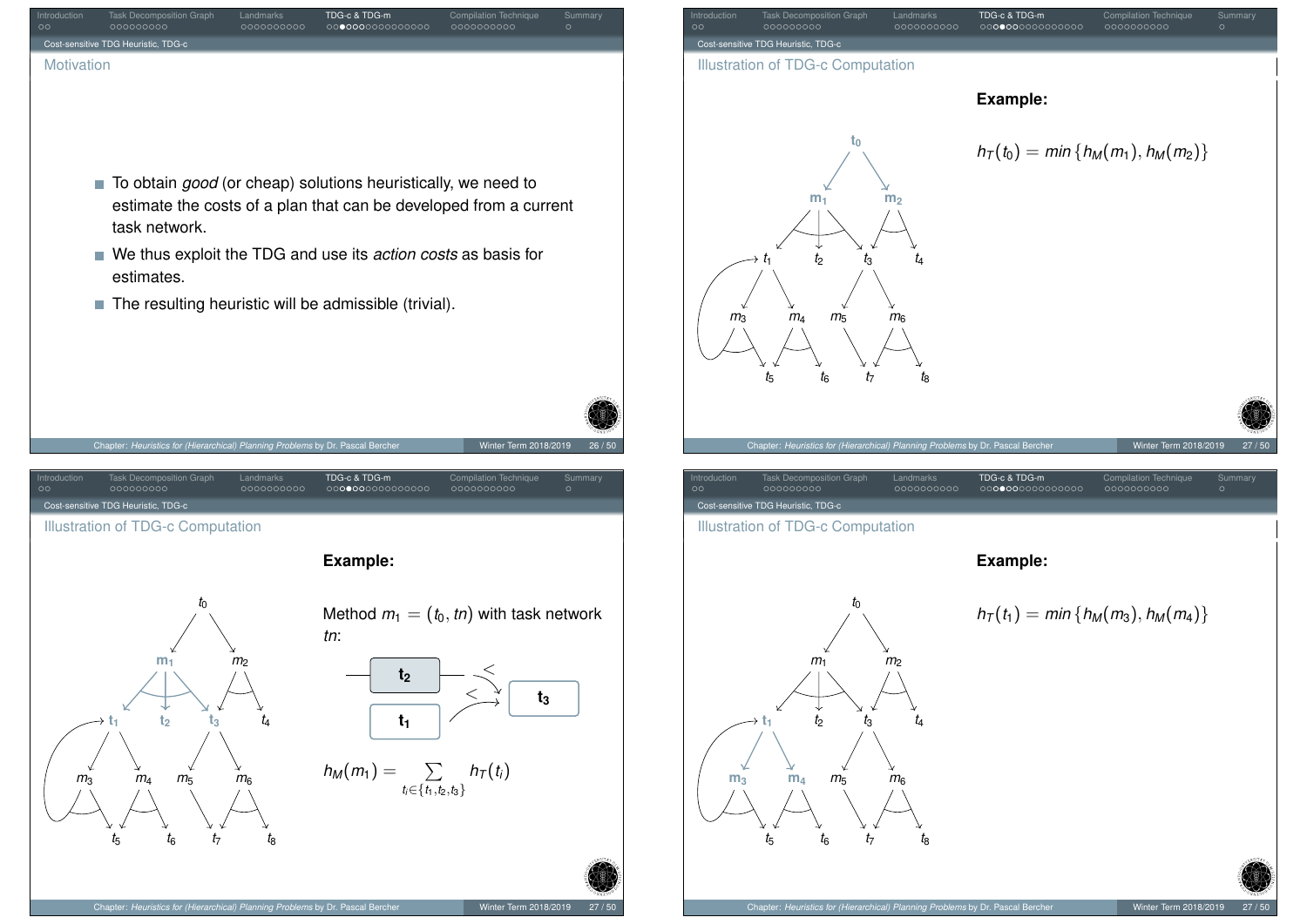<span id="page-7-0"></span>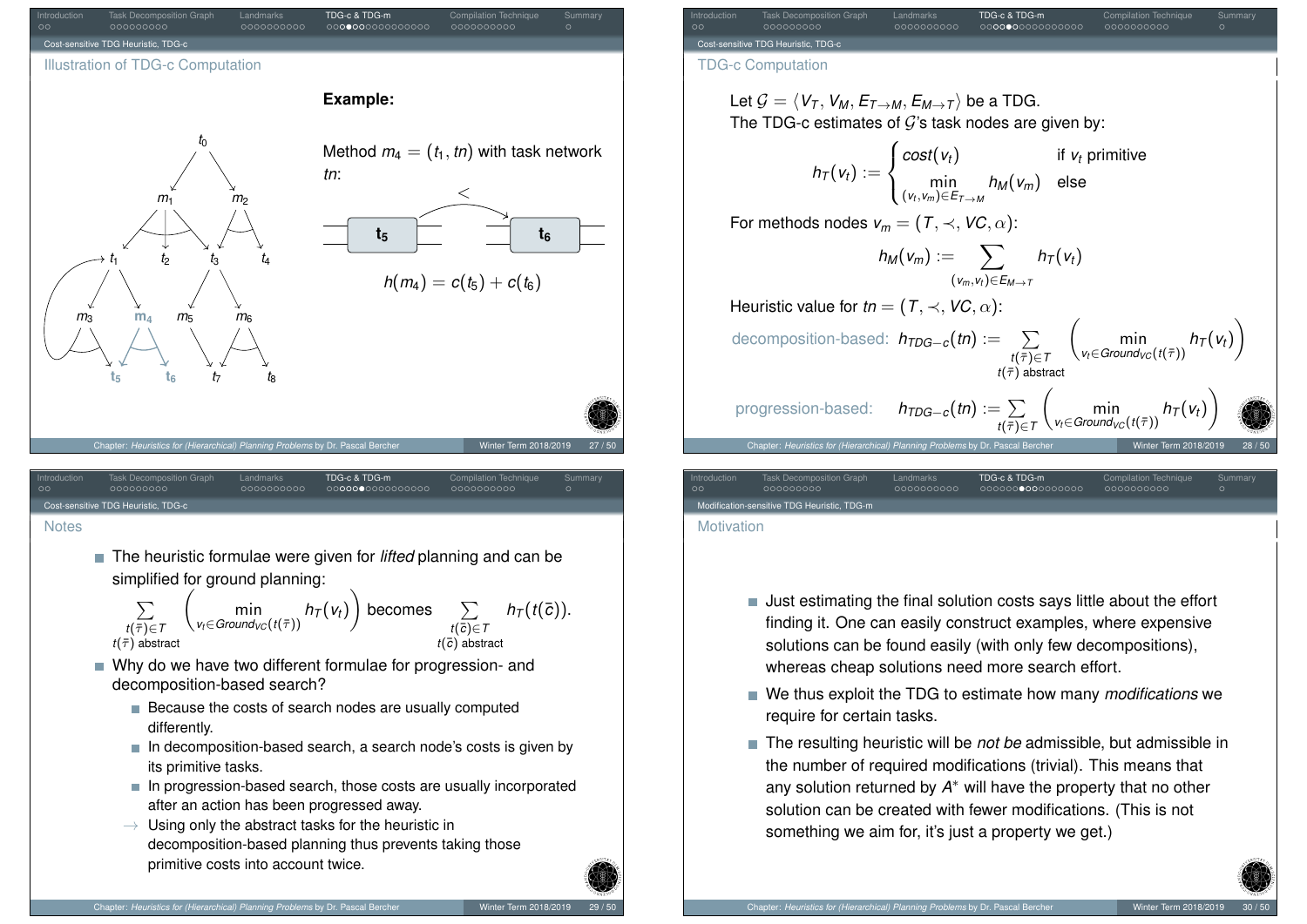

<span id="page-8-0"></span>

- Why do we have two different formulae for progression- and decomposition-based search?
	- Because the costs of search nodes are usually computed differently.
	- $\blacksquare$  In decomposition-based search, a search node's costs is given by its primitive tasks.
	- In progression-based search, those costs are usually incorporated after an action has been progressed away.
	- $\rightarrow$  Using only the abstract tasks for the heuristic in decomposition-based planning thus prevents taking those primitive costs into account twice.

Introduction Task Decomposition Graph Landmarks TDG-c & TDG-m Compilation Technique Summary Cost-sensitive TDG Heuristic, TDG-c TDG-c Computation Let  $G = \langle V_T, V_M, E_{T\rightarrow M}, E_{M\rightarrow T} \rangle$  be a TDG. The TDG-c estimates of  $G$ 's task nodes are given by:  $h_T(v_t) :=$  $\sqrt{ }$  $\int$  $\mathcal{L}$  $cost(v_t)$  if  $v_t$  primitive min (*vt*,*vm*)∈*ET*→*<sup>M</sup> h<sup>M</sup>* (*vm*) else For methods nodes  $v_m = (T, \prec, VC, \alpha)$ :  $h_M(v_m) := \sum$ (*vm*,*v<sup>t</sup>* )∈*EM*→*<sup>T</sup>*  $h_T(v_t)$ Heuristic value for  $tn = (T, \prec, VC, \alpha)$ : decomposition-based:  $h_{TDG−c}(tn) := ∑$  $t(\bar{\tau}) \in T$  $t(\bar{\tau})$  abstract  $\begin{pmatrix} 1 & 1 \\ 0 & 1 \end{pmatrix}$  $v_t \in$ *Ground*<sub>*VC*</sub> (*t*( $\bar{\tau}$ ))  $h_T(v_t)$  $\setminus$ progression-based:  $h_{\mathit{TDG}-c}(t n) := \sum$  $t(\bar{\tau}){\in}T$  $\begin{pmatrix} 1 & 1 \\ 0 & 1 \end{pmatrix}$  $v_t \in$ *Ground*<sub>*VC*</sub> (*t*( $\bar{\tau}$ ))  $h_T(v_t)$  $\setminus$ Chapter: *Heuristics for (Hierarchical) Planning Problems* by Dr. Pascal Bercher Winter Term 2018/2019 28 / 50 Introduction Task Decomposition Graph Landmarks TDG-c & TDG-m Compilation Technique Summary

-sensitive TDG Heuristic, TDG-n

**Motivation** 

- Just estimating the final solution costs says little about the effort finding it. One can easily construct examples, where expensive solutions can be found easily (with only few decompositions), whereas cheap solutions need more search effort.
- We thus exploit the TDG to estimate how many *modifications* we require for certain tasks.
- The resulting heuristic will be *not be* admissible, but admissible in the number of required modifications (trivial). This means that any solution returned by *A* <sup>∗</sup> will have the property that no other solution can be created with fewer modifications. (This is not something we aim for, it's just a property we get.)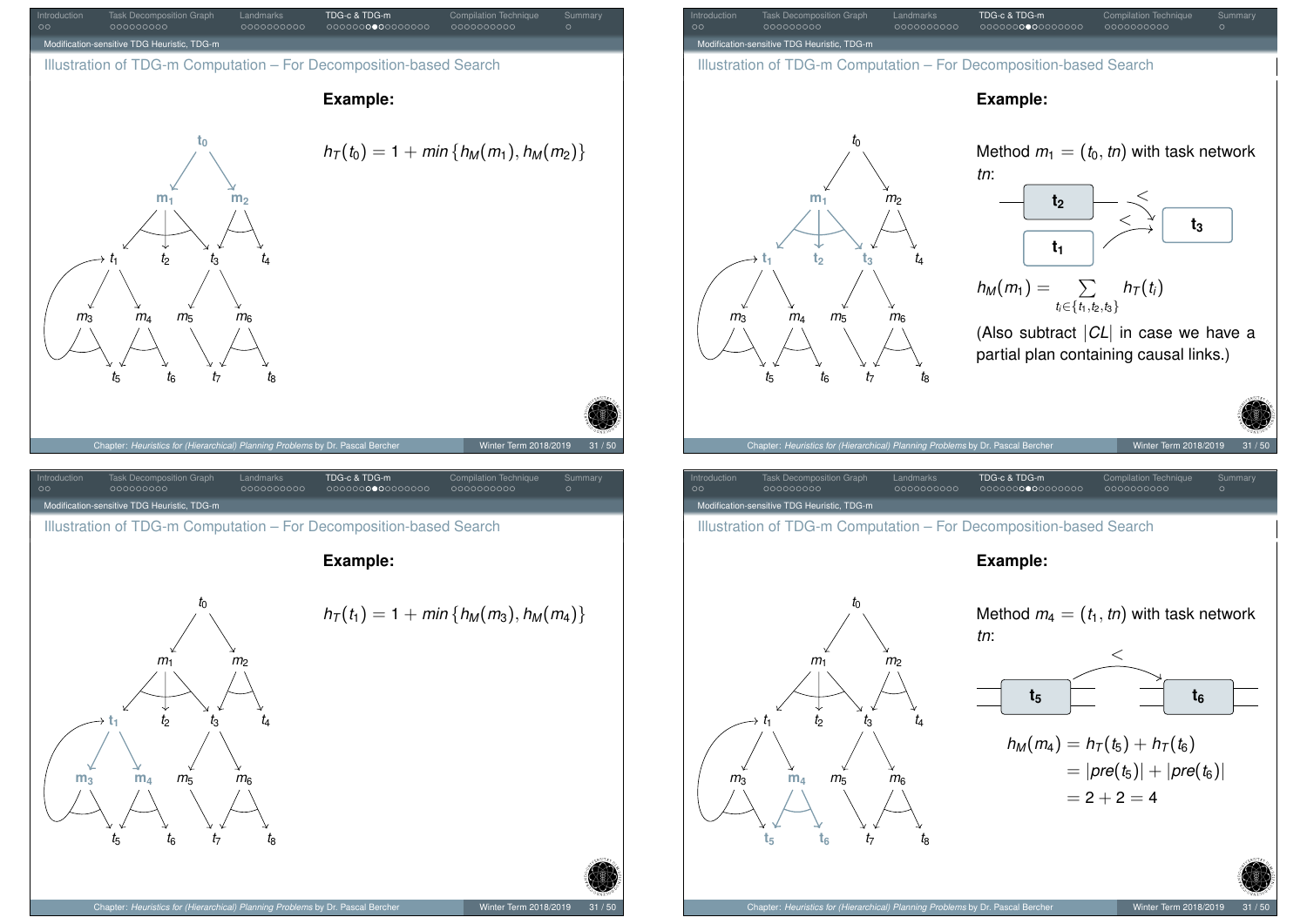<span id="page-9-0"></span>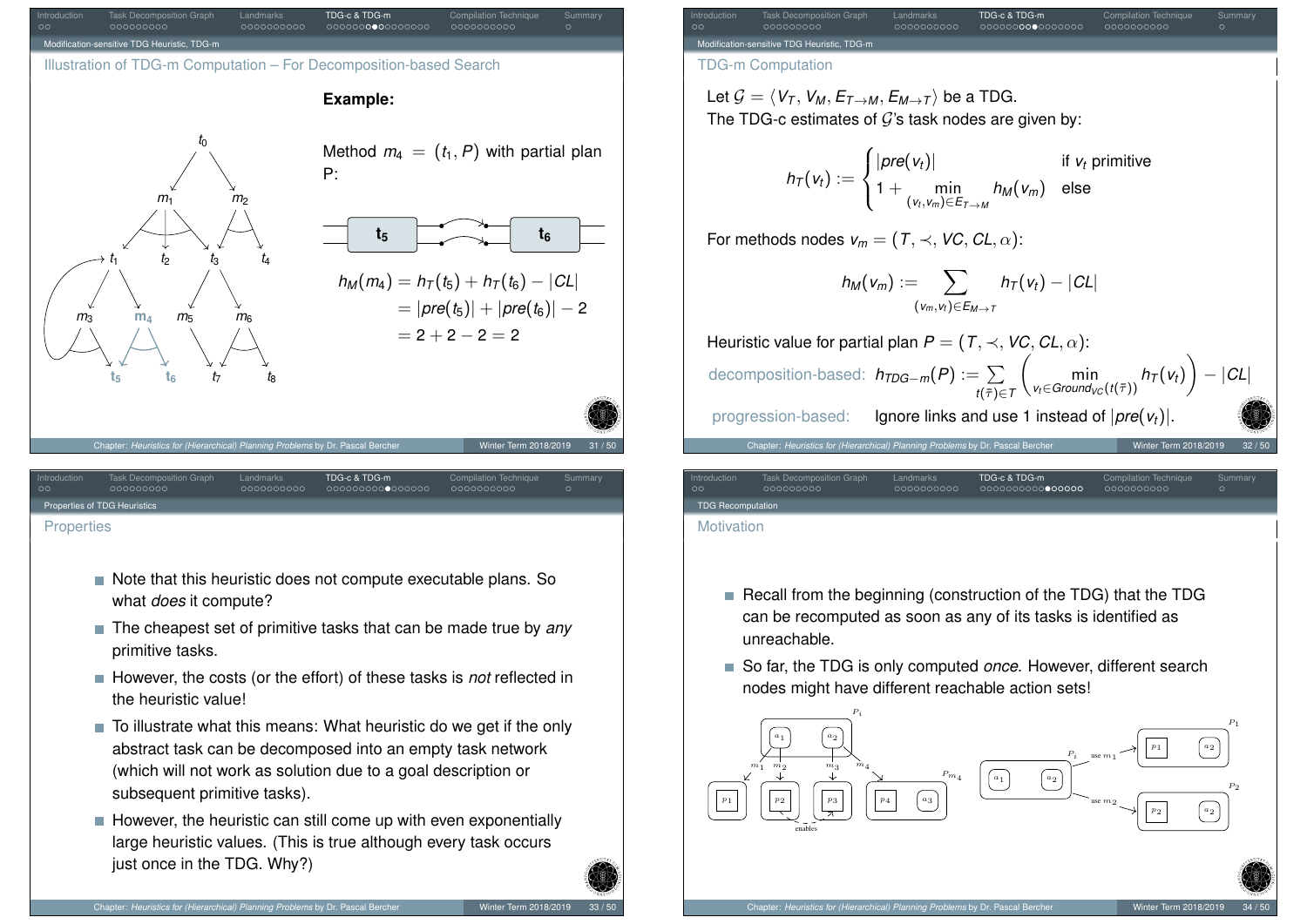

#### <span id="page-10-0"></span>**[Properties](#page-8-0)**

- Note that this heuristic does not compute executable plans. So what *does* it compute?
- The cheapest set of primitive tasks that can be made true by *any* primitive tasks.
- **However, the costs (or the effort) of these tasks is** *not* **reflected in** the heuristic value!
- $\blacksquare$  To illustrate what this means: What heuristic do we get if the only abstract task can be decomposed into an empty task network (which will not work as solution due to a goal description or subsequent primitive tasks).
- $\blacksquare$  However, the heuristic can still come up with even exponentially large heuristic values. (This is true although every task occurs just once in the TDG. Why?)

#### Let  $\mathcal{G} = \langle V_T, V_M, E_{T\rightarrow M}, E_{M\rightarrow T} \rangle$  be a TDG. The TDG-c estimates of  $G$ 's task nodes are given by:

$$
h_T(v_t) := \begin{cases} |pre(v_t)| & \text{if } v_t \text{ primitive} \\ 1 + \min_{(v_t, v_m) \in E_{T \to M}} h_M(v_m) & \text{else} \end{cases}
$$

For methods nodes  $v_m = (T, \prec, VC, CL, \alpha)$ :

$$
h_M(v_m):=\sum_{(v_m,v_t)\in E_{M\to T}}h_T(v_t)-|CL|
$$

Heuristic value for partial plan  $P = (T, \prec, VC, CL, \alpha)$ : decomposition-based:  $h_{TDG-m}(P) := \sum$  $t(\bar{\tau}) \in T$  $\begin{pmatrix} 1 & 1 \\ 0 & 1 \end{pmatrix}$  $m$ **in**<br>*v*<sub>t</sub>∈*Ground*<sub>*VC</sub>* (*t*( $\bar{\tau}$ ))</sub>  $\setminus$ − |*CL*| progression-based: Ignore links and use 1 instead of |*pre*(*vt*)|. Chapter: *Heuristics for (Hierarchical) Planning Problems* by Dr. Pascal Bercher Winter Term 2018/2019

Introduction Task Decomposition Graph Landmarks TDG-c & TDG-m Compilation Technique Summary

**TDG Re** 

**Motivation** 

- Recall from the beginning (construction of the TDG) that the TDG can be recomputed as soon as any of its tasks is identified as unreachable.
- So far, the TDG is only computed *once*. However, different search nodes might have different reachable action sets!

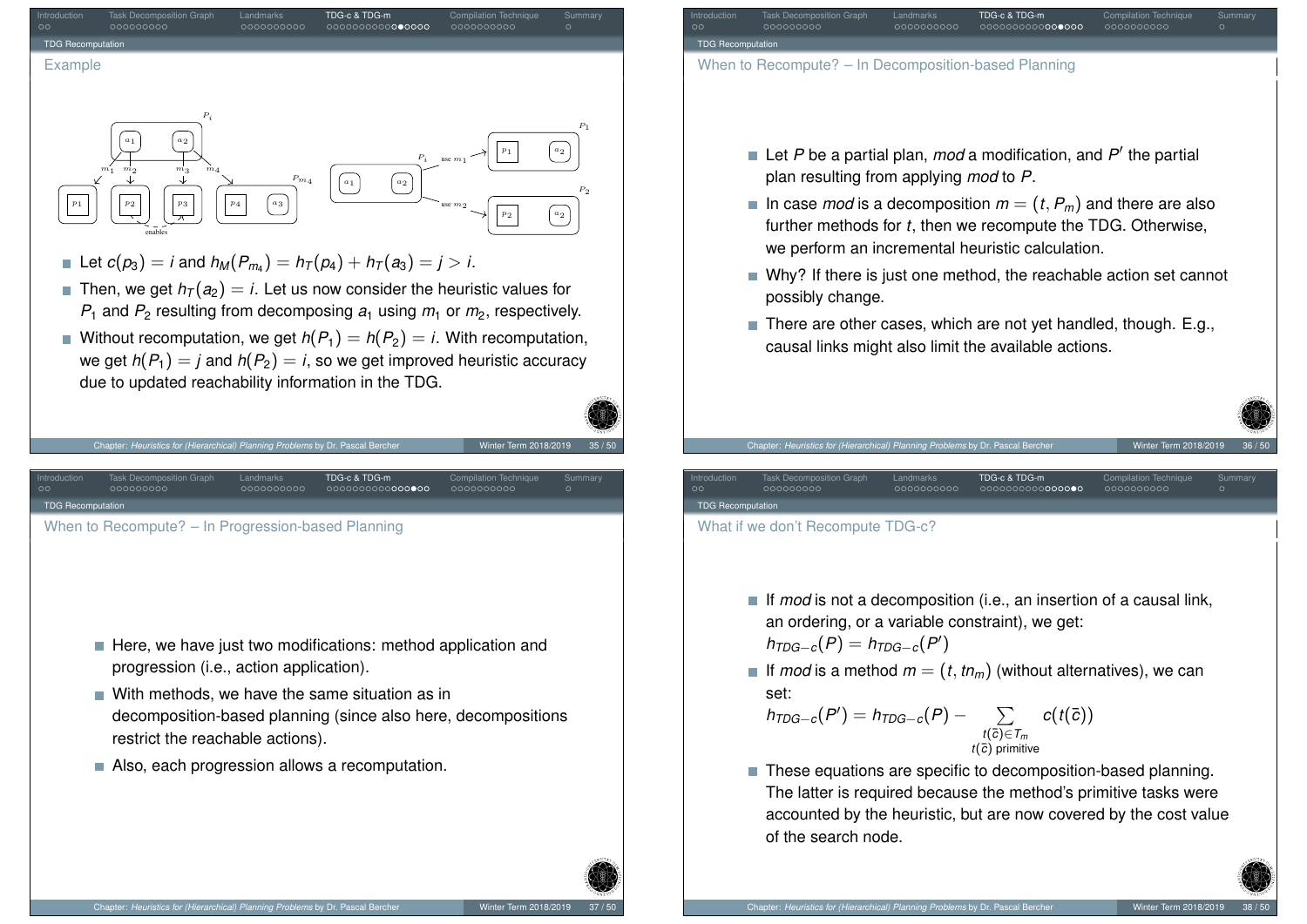

we get  $h(P_1) = i$  and  $h(P_2) = i$ , so we get improved heuristic accuracy due to updated reachability information in the TDG.

Introduction Task Decomposition Graph Landmarks TDG-c & TDG-m Compilation Technique Summary



- $\blacksquare$  With methods, we have the same situation as in decomposition-based planning (since also here, decompositions restrict the reachable actions).
- Also, each progression allows a recomputation.

Chapter: *Heuristics for (Hierarchical) Planning Problems* by Dr. Pascal Be

[When t](#page-10-0)[o](#page-2-0) [Reco](#page-3-0)mpute? [– In P](#page-4-0)[rog](#page-5-0)[re](#page-6-0)ss[ion](#page-6-0)[-](#page-7-0)[bas](#page-8-0)[ed](#page-10-0) [Plan](#page-11-0)[n](#page-12-0)in[g](#page-12-0)

<span id="page-11-0"></span>[TD](#page-0-0)G R[ecomputation](#page-1-0)

Introduction Task Decomposition Graph Landmarks TDG-c & TDG-m Compilation Technique Summary TDG Re

When to Recompute? – In Decomposition-based Planning

- Let P be a partial plan, mod a modification, and P' the partial plan resulting from applying *mod* to *P*.
- In case *mod* is a decomposition  $m = (t, P_m)$  and there are also further methods for *t*, then we recompute the TDG. Otherwise, we perform an incremental heuristic calculation.
- Why? If there is just one method, the reachable action set cannot possibly change.
- There are other cases, which are not yet handled, though. E.g., causal links might also limit the available actions.

Introduction Task Decomposition Graph Landmarks TDG-c & TDG-m Compilation Technique Summary

**TDG R** 

What if we don't Recompute TDG-c?

- If *mod* is not a decomposition (i.e., an insertion of a causal link, an ordering, or a variable constraint), we get:
	- $h_{\text{TDG--}c}(P) = h_{\text{TDG--}c}(P')$
- If *mod* is a method  $m = (t, tn_m)$  (without alternatives), we can set:

$$
h_{TDG-c}(P') = h_{TDG-c}(P) - \sum_{\substack{t(\overline{c}) \in \mathcal{T}_m \\ t(\overline{c}) \text{ primitive}}} c(t(\overline{c}))
$$

tics for *(Hierarchical) Planning Problems* by Dr. Pa

■ These equations are specific to decomposition-based planning. The latter is required because the method's primitive tasks were accounted by the heuristic, but are now covered by the cost value of the search node.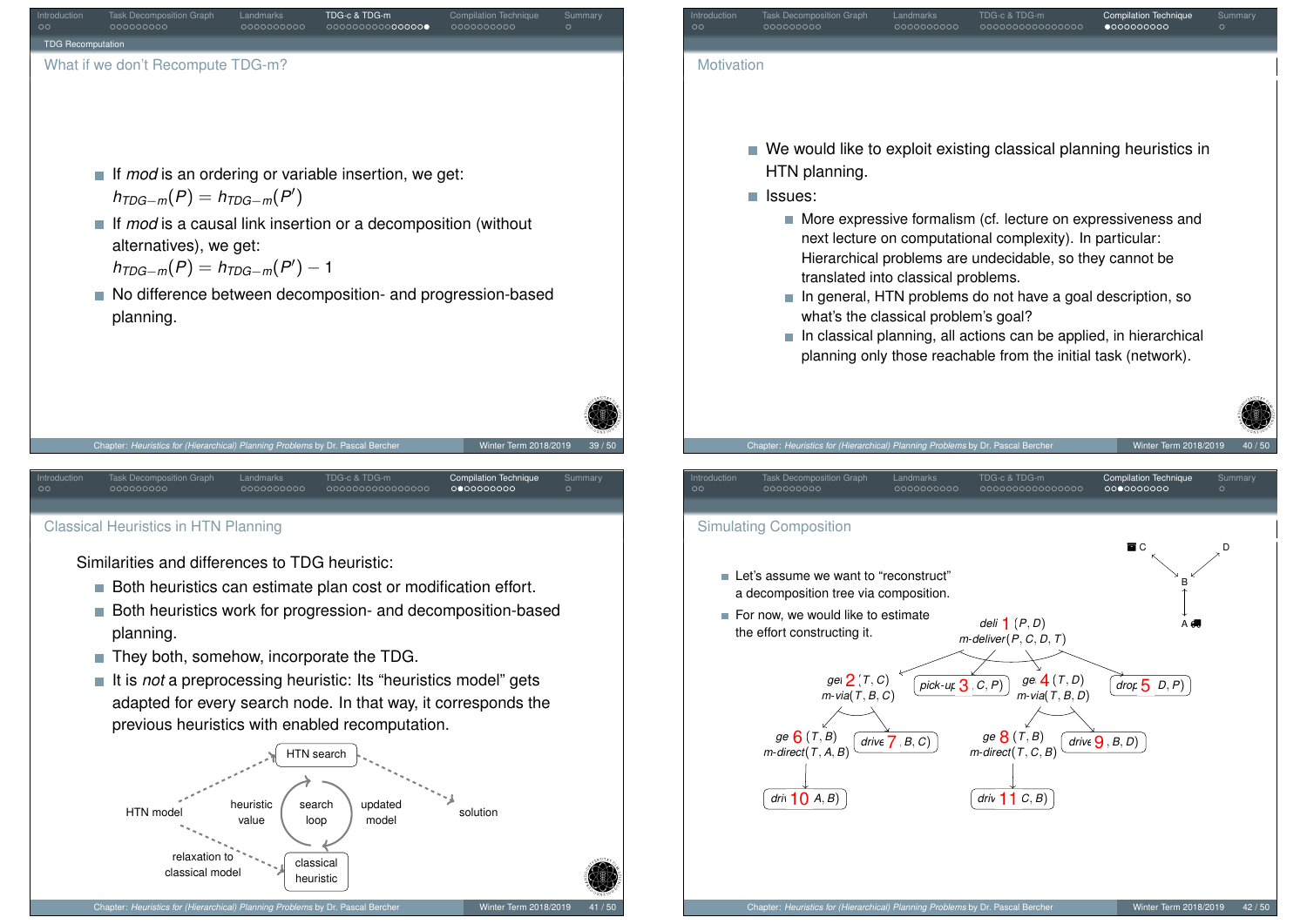<span id="page-12-0"></span>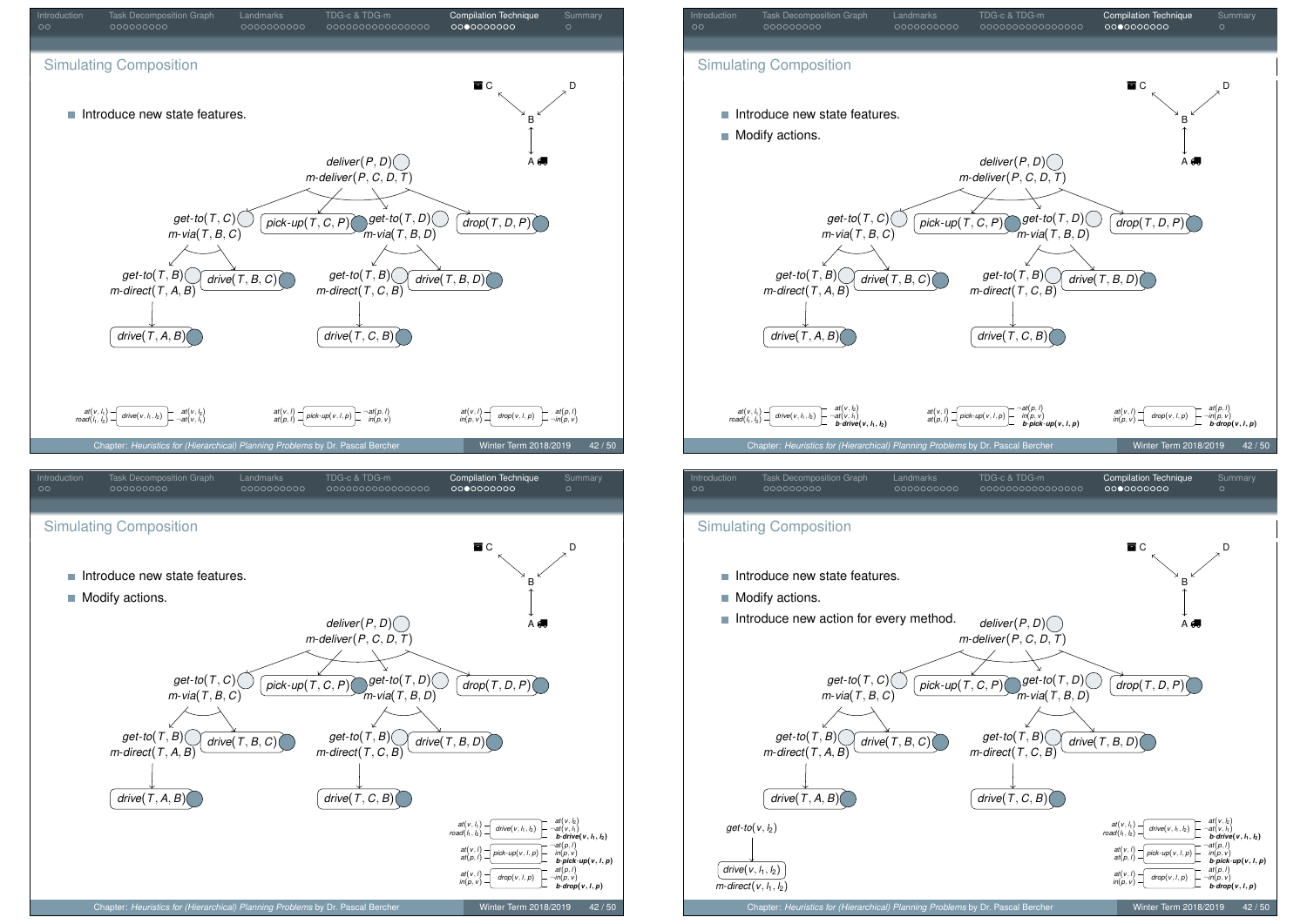

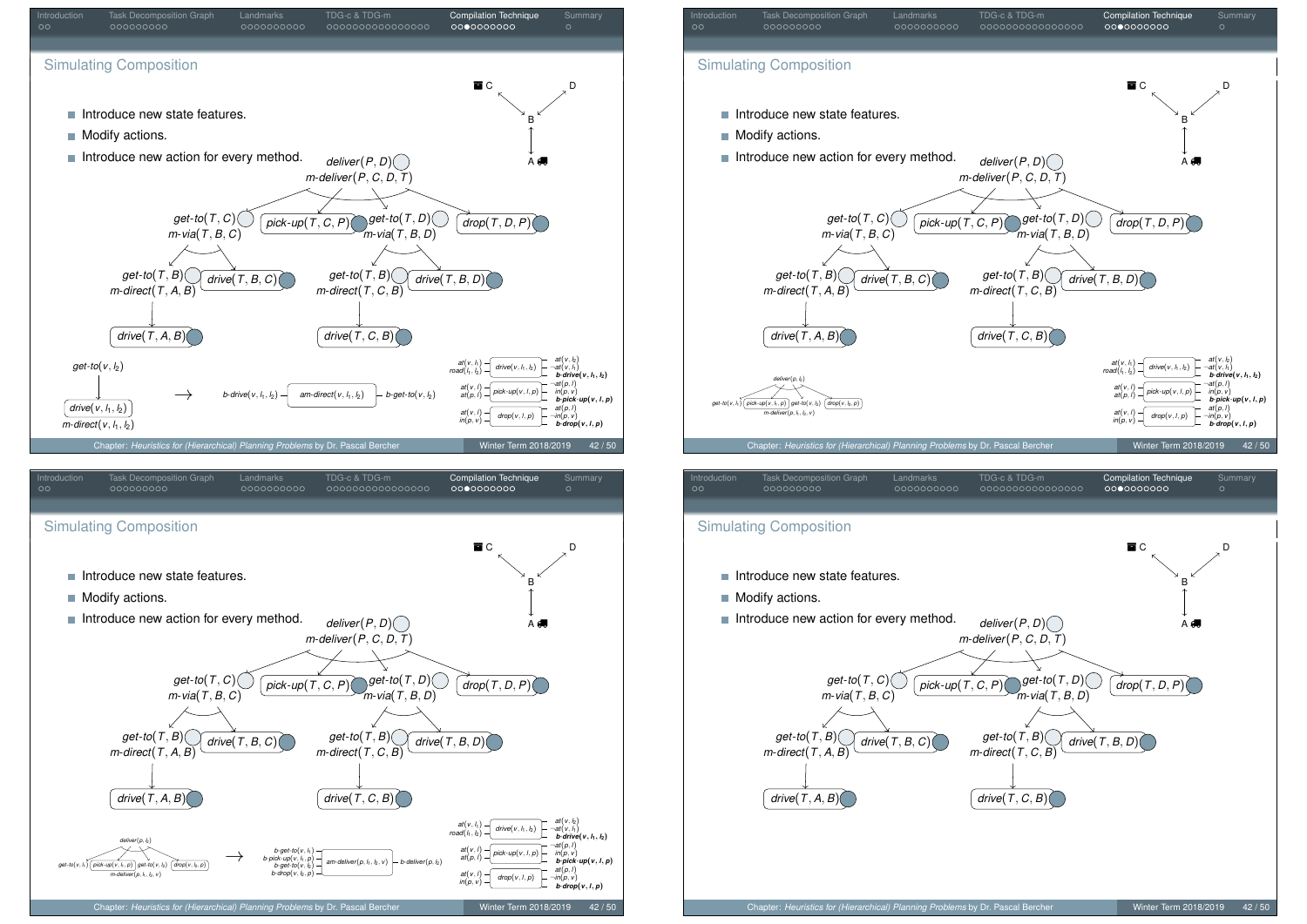



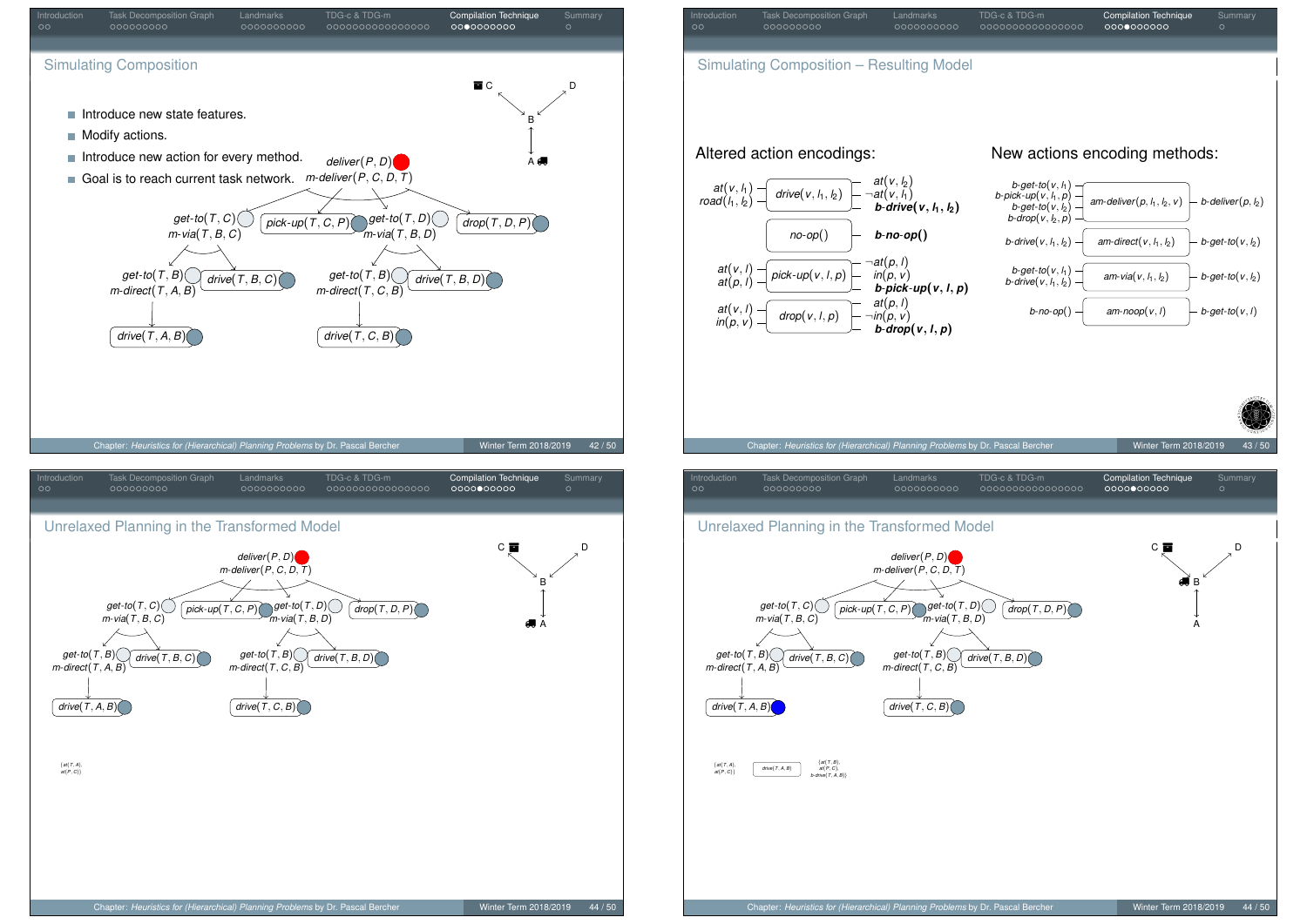<span id="page-15-0"></span>

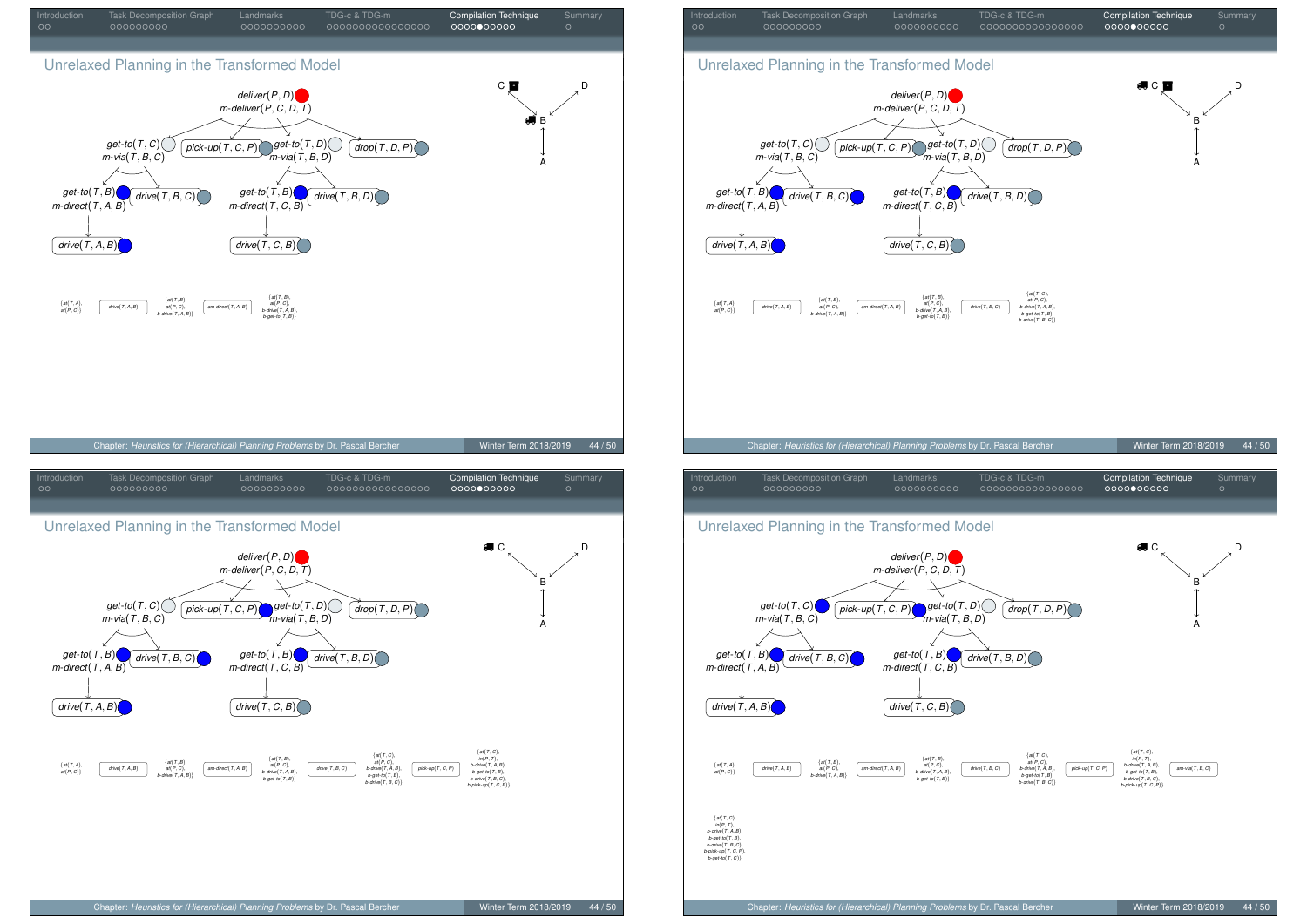

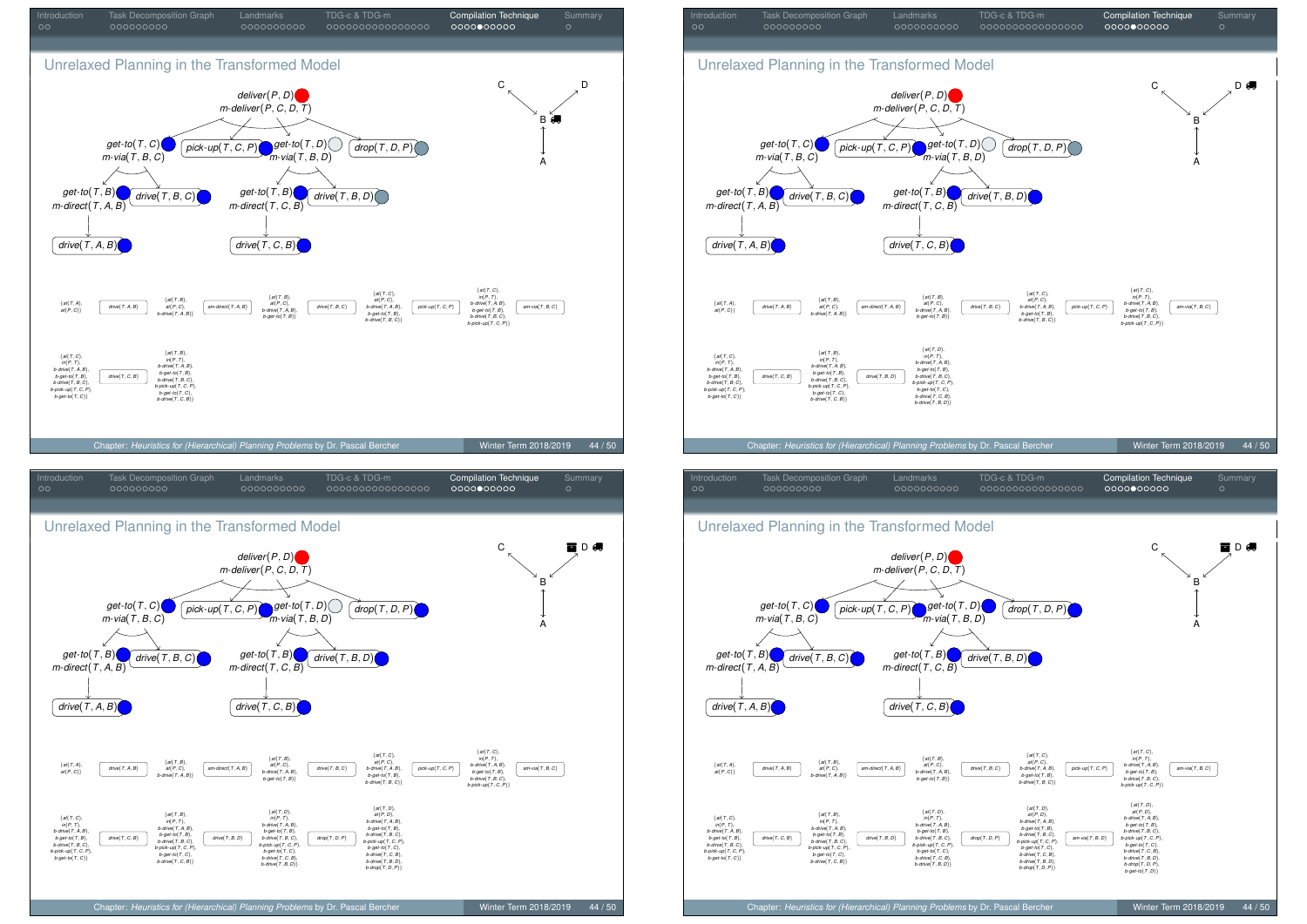



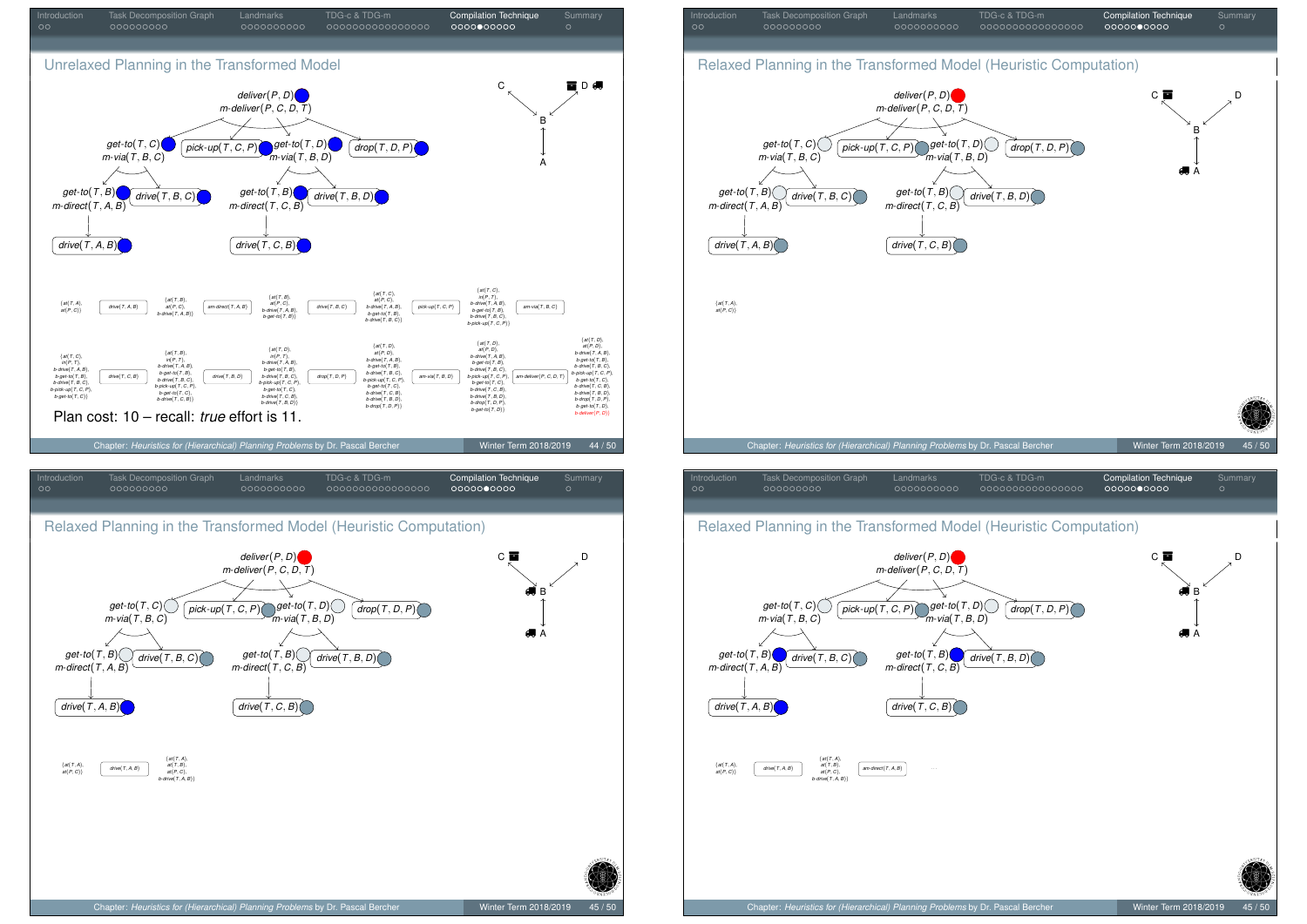<span id="page-18-0"></span>

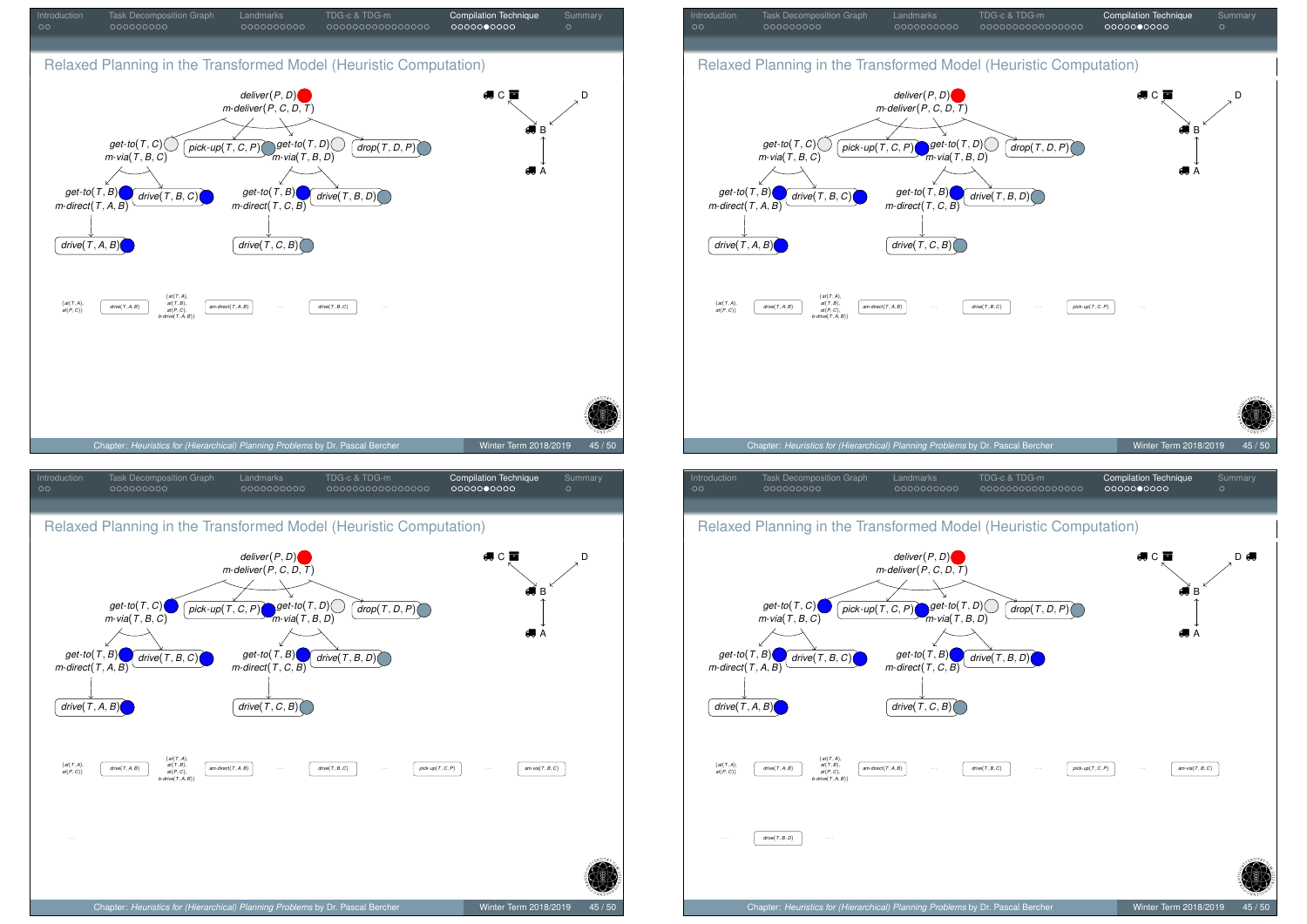

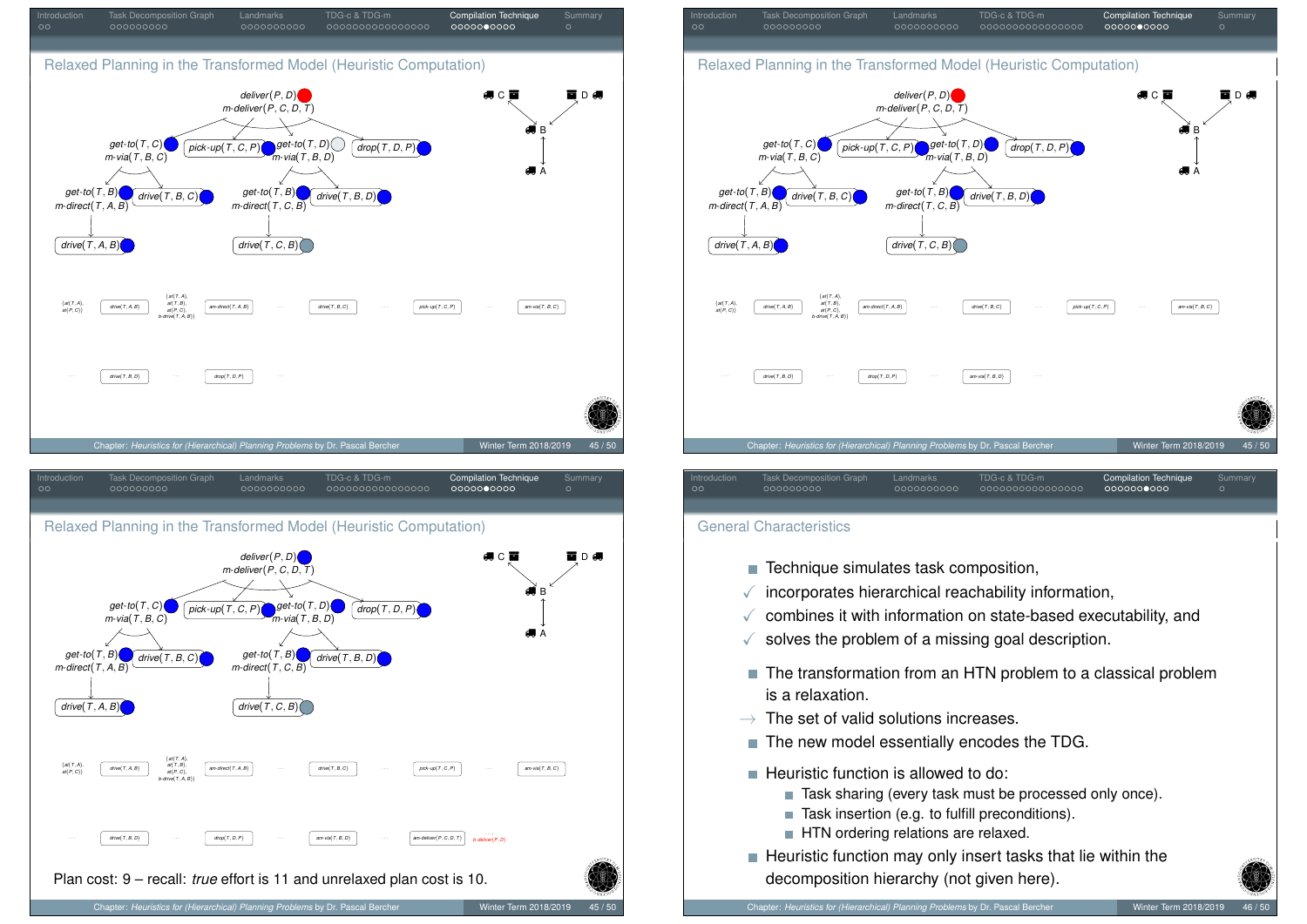<span id="page-20-0"></span>



#### General Characteristics

- Technique simulates task composition.
- $\checkmark$  incorporates hierarchical reachability information,
- $\checkmark$  combines it with information on state-based executability, and
- $\checkmark$  solves the problem of a missing goal description.
- The transformation from an HTN problem to a classical problem is a relaxation.
- $\rightarrow$  The set of valid solutions increases.
- $\blacksquare$  The new model essentially encodes the TDG.
- $\blacksquare$  Heuristic function is allowed to do:
	- Task sharing (every task must be processed only once).
	- $\blacksquare$  Task insertion (e.g. to fulfill preconditions).
	- HTN ordering relations are relaxed.
- $\blacksquare$  Heuristic function may only insert tasks that lie within the decomposition hierarchy (not given here).